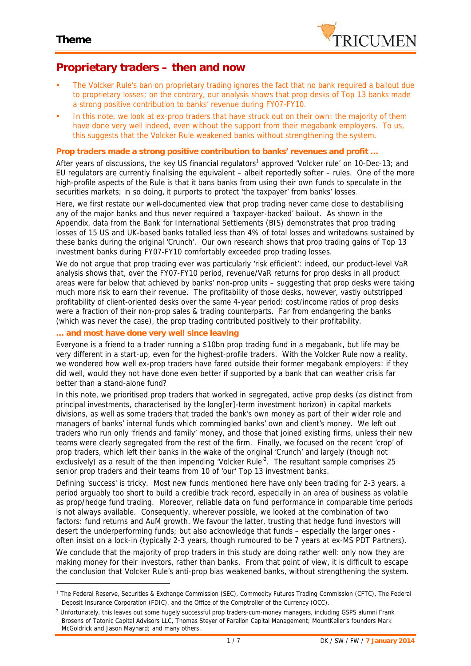

## **Proprietary traders – then and now**

- The Volcker Rule's ban on proprietary trading ignores the fact that no bank required a bailout due to proprietary losses; on the contrary, our analysis shows that prop desks of Top 13 banks made a strong positive contribution to banks' revenue during FY07-FY10.
- In this note, we look at ex-prop traders that have struck out on their own: the majority of them have done very well indeed, even without the support from their megabank employers. To us, this suggests that the Volcker Rule weakened banks without strengthening the system.

### **Prop traders made a strong positive contribution to banks' revenues and profit …**

After years of discussions, the key US financial regulators<sup>1</sup> approved 'Volcker rule' on 10-Dec-13; and EU regulators are currently finalising the equivalent – albeit reportedly softer – rules. One of the more high-profile aspects of the Rule is that it bans banks from using their own funds to speculate in the securities markets; in so doing, it purports to protect 'the taxpayer' from banks' losses.

Here, we first restate our well-documented view that prop trading never came close to destabilising any of the major banks and thus never required a 'taxpayer-backed' bailout. As shown in the Appendix, data from the Bank for International Settlements (BIS) demonstrates that prop trading losses of 15 US and UK-based banks totalled less than 4% of total losses and writedowns sustained by these banks during the original 'Crunch'. Our own research shows that prop trading gains of Top 13 investment banks during FY07-FY10 comfortably exceeded prop trading losses.

We do not argue that prop trading ever was particularly 'risk efficient': indeed, our product-level VaR analysis shows that, over the FY07-FY10 period, revenue/VaR returns for prop desks in all product areas were far below that achieved by banks' non-prop units – suggesting that prop desks were taking much more risk to earn their revenue. The *profitability* of those desks, however, vastly outstripped profitability of client-oriented desks over the same 4-year period: cost/income ratios of prop desks were a fraction of their non-prop sales & trading counterparts. Far from endangering the banks (which was never the case), the prop trading contributed positively to their profitability.

### **… and most have done very well since leaving**

Everyone is a friend to a trader running a \$10bn prop trading fund in a megabank, but life may be very different in a start-up, even for the highest-profile traders. With the Volcker Rule now a reality, we wondered how well ex-prop traders have fared outside their former megabank employers: if they did well, would they not have done even better if supported by a bank that can weather crisis far better than a stand-alone fund?

In this note, we prioritised prop traders that worked in segregated, active prop desks (as distinct from principal investments, characterised by the long[er]-term investment horizon) in capital markets divisions, as well as some traders that traded the bank's own money as part of their wider role and managers of banks' internal funds which commingled banks' own and client's money. We left out traders who run only 'friends and family' money, and those that joined existing firms, unless their new teams were clearly segregated from the rest of the firm. Finally, we focused on the recent 'crop' of prop traders, which left their banks in the wake of the original 'Crunch' and largely (though not exclusively) as a result of the then impending 'Volcker Rule'<sup>2</sup>. The resultant sample comprises 25 senior prop traders and their teams from 10 of 'our' Top 13 investment banks.

Defining 'success' is tricky. Most new funds mentioned here have only been trading for 2-3 years, a period arguably too short to build a credible track record, especially in an area of business as volatile as prop/hedge fund trading. Moreover, reliable data on fund performance in comparable time periods is not always available. Consequently, wherever possible, we looked at the combination of two factors: fund returns and AuM growth. We favour the latter, trusting that hedge fund investors will desert the underperforming funds; but also acknowledge that funds – especially the larger ones often insist on a lock-in (typically 2-3 years, though rumoured to be 7 years at ex-MS PDT Partners).

We conclude that the majority of prop traders in this study are doing rather well: only now they are making money for their investors, rather than banks. From that point of view, it is difficult to escape the conclusion that Volcker Rule's anti-prop bias weakened banks, without strengthening the system.

<sup>1</sup> *The Federal Reserve, Securities & Exchange Commission (SEC), Commodity Futures Trading Commission (CFTC), The Federal Deposit Insurance Corporation (FDIC), and the Office of the Comptroller of the Currency (OCC).*

<sup>2</sup> *Unfortunately, this leaves out some hugely successful prop traders-cum-money managers, including GSPS alumni Frank Brosens of Tatonic Capital Advisors LLC, Thomas Steyer of Farallon Capital Management; MountKeller's founders Mark McGoldrick and Jason Maynard; and many others.*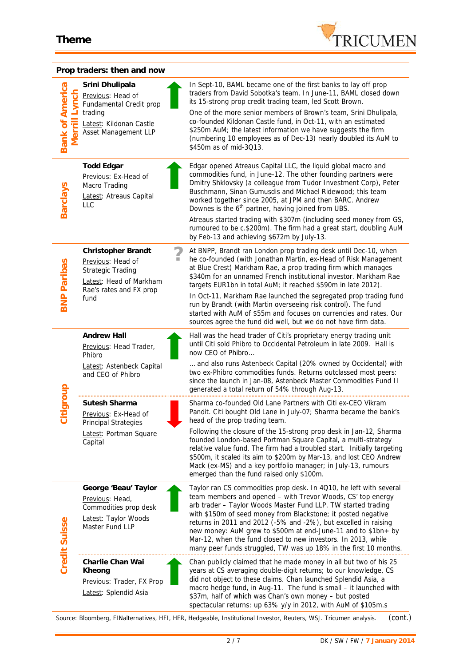

### **Prop traders: then and now**

| <b>Bank of America</b><br>$\overline{\Phi}$<br>Σ | Srini Dhulipala<br>Previous: Head of<br>Fundamental Credit prop<br>trading<br>Latest: Kildonan Castle<br>Asset Management LLP | In Sept-10, BAML became one of the first banks to lay off prop<br>traders from David Sobotka's team. In June-11, BAML closed down<br>its 15-strong prop credit trading team, led Scott Brown.<br>One of the more senior members of Brown's team, Srini Dhulipala,<br>co-founded Kildonan Castle fund, in Oct-11, with an estimated<br>\$250m AuM; the latest information we have suggests the firm<br>(numbering 10 employees as of Dec-13) nearly doubled its AuM to<br>\$450m as of mid-3Q13.                                                                                                                                                                     |
|--------------------------------------------------|-------------------------------------------------------------------------------------------------------------------------------|---------------------------------------------------------------------------------------------------------------------------------------------------------------------------------------------------------------------------------------------------------------------------------------------------------------------------------------------------------------------------------------------------------------------------------------------------------------------------------------------------------------------------------------------------------------------------------------------------------------------------------------------------------------------|
| <b>Barclays</b>                                  | <b>Todd Edgar</b><br>Previous: Ex-Head of<br>Macro Trading<br>Latest: Atreaus Capital<br>LLC                                  | Edgar opened Atreaus Capital LLC, the liquid global macro and<br>commodities fund, in June-12. The other founding partners were<br>Dmitry Shklovsky (a colleague from Tudor Investment Corp), Peter<br>Buschmann, Sinan Gumusdis and Michael Ridewood; this team<br>worked together since 2005, at JPM and then BARC. Andrew<br>Downes is the 6 <sup>th</sup> partner, having joined from UBS.<br>Atreaus started trading with \$307m (including seed money from GS,<br>rumoured to be c.\$200m). The firm had a great start, doubling AuM                                                                                                                          |
| <b>BNP Paribas</b>                               | Christopher Brandt<br>Previous: Head of<br>Strategic Trading<br>Latest: Head of Markham<br>Rae's rates and FX prop<br>fund    | by Feb-13 and achieving \$672m by July-13.<br>At BNPP, Brandt ran London prop trading desk until Dec-10, when<br>he co-founded (with Jonathan Martin, ex-Head of Risk Management<br>at Blue Crest) Markham Rae, a prop trading firm which manages<br>\$340m for an unnamed French institutional investor. Markham Rae<br>targets EUR1bn in total AuM; it reached \$590m in late 2012).<br>In Oct-11, Markham Rae launched the segregated prop trading fund<br>run by Brandt (with Martin overseeing risk control). The fund<br>started with AuM of \$55m and focuses on currencies and rates. Our<br>sources agree the fund did well, but we do not have firm data. |
| Citigroup                                        | Andrew Hall<br>Previous: Head Trader,<br>Phibro<br>Latest: Astenbeck Capital<br>and CEO of Phibro                             | Hall was the head trader of Citi's proprietary energy trading unit<br>until Citi sold Phibro to Occidental Petroleum in late 2009. Hall is<br>now CEO of Phibro<br>and also runs Astenbeck Capital (20% owned by Occidental) with<br>two ex-Phibro commodities funds. Returns outclassed most peers:<br>since the launch in Jan-08, Astenbeck Master Commodities Fund II<br>generated a total return of 54% through Aug-13.                                                                                                                                                                                                                                         |
|                                                  | Sutesh Sharma<br>Previous: Ex-Head of<br><b>Principal Strategies</b><br>Latest: Portman Square<br>Capital                     | Sharma co-founded Old Lane Partners with Citi ex-CEO Vikram<br>Pandit. Citi bought Old Lane in July-07; Sharma became the bank's<br>head of the prop trading team.<br>Following the closure of the 15-strong prop desk in Jan-12, Sharma<br>founded London-based Portman Square Capital, a multi-strategy<br>relative value fund. The firm had a troubled start. Initially targeting<br>\$500m, it scaled its aim to \$200m by Mar-13, and lost CEO Andrew<br>Mack (ex-MS) and a key portfolio manager; in July-13, rumours<br>emerged than the fund raised only \$100m.                                                                                            |
| Credit Suisse                                    | George 'Beau' Taylor<br>Previous: Head,<br>Commodities prop desk<br>Latest: Taylor Woods<br>Master Fund LLP                   | Taylor ran CS commodities prop desk. In 4Q10, he left with several<br>team members and opened - with Trevor Woods, CS' top energy<br>arb trader - Taylor Woods Master Fund LLP. TW started trading<br>with \$150m of seed money from Blackstone; it posted negative<br>returns in 2011 and 2012 (-5% and -2%), but excelled in raising<br>new money: AuM grew to \$500m at end-June-11 and to \$1bn+ by<br>Mar-12, when the fund closed to new investors. In 2013, while<br>many peer funds struggled, TW was up 18% in the first 10 months.                                                                                                                        |
|                                                  | Charlie Chan Wai<br>Kheong<br>Previous: Trader, FX Prop<br>Latest: Splendid Asia                                              | Chan publicly claimed that he made money in all but two of his 25<br>years at CS averaging double-digit returns; to our knowledge, CS<br>did not object to these claims. Chan launched Splendid Asia, a<br>macro hedge fund, in Aug-11. The fund is small - it launched with<br>\$37m, half of which was Chan's own money - but posted<br>spectacular returns: up 63% y/y in 2012, with AuM of \$105m.s                                                                                                                                                                                                                                                             |

*Source: Bloomberg, FINalternatives, HFI, HFR, Hedgeable, Institutional Investor, Reuters, WSJ. Tricumen analysis. (cont.)*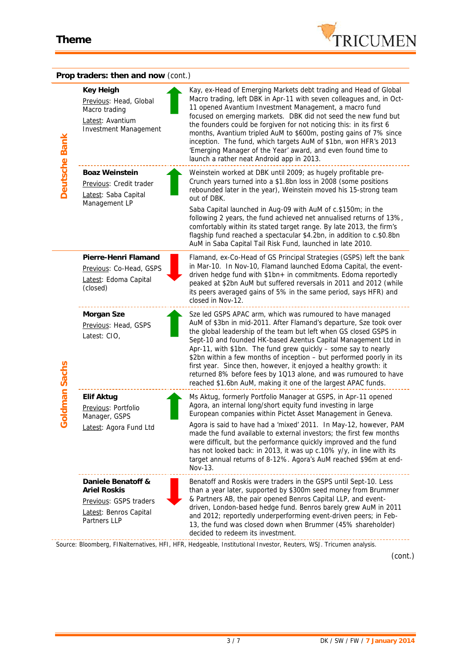

|                   | Prop traders: then and now (cont.)                                                                            |                                                                                                                                                                                                                                                                                                                                                                                                                                                                                                                                                                                                                          |
|-------------------|---------------------------------------------------------------------------------------------------------------|--------------------------------------------------------------------------------------------------------------------------------------------------------------------------------------------------------------------------------------------------------------------------------------------------------------------------------------------------------------------------------------------------------------------------------------------------------------------------------------------------------------------------------------------------------------------------------------------------------------------------|
| Deutsche Bank     | Key Heigh<br>Previous: Head, Global<br>Macro trading<br>Latest: Avantium<br><b>Investment Management</b>      | Kay, ex-Head of Emerging Markets debt trading and Head of Global<br>Macro trading, left DBK in Apr-11 with seven colleagues and, in Oct-<br>11 opened Avantium Investment Management, a macro fund<br>focused on emerging markets. DBK did not seed the new fund but<br>the founders could be forgiven for not noticing this: in its first 6<br>months, Avantium tripled AuM to \$600m, posting gains of 7% since<br>inception. The fund, which targets AuM of \$1bn, won HFR's 2013<br>'Emerging Manager of the Year' award, and even found time to<br>launch a rather neat Android app in 2013.                        |
|                   | Boaz Weinstein<br>Previous: Credit trader<br>Latest: Saba Capital<br>Management LP                            | Weinstein worked at DBK until 2009; as hugely profitable pre-<br>Crunch years turned into a \$1.8bn loss in 2008 (some positions<br>rebounded later in the year), Weinstein moved his 15-strong team<br>out of DBK.<br>Saba Capital launched in Aug-09 with AuM of c.\$150m; in the<br>following 2 years, the fund achieved net annualised returns of 13%,<br>comfortably within its stated target range. By late 2013, the firm's<br>flagship fund reached a spectacular \$4.2bn, in addition to c.\$0.8bn<br>AuM in Saba Capital Tail Risk Fund, launched in late 2010.                                                |
| oldman Sachs<br>↺ | Pierre-Henri Flamand<br>Previous: Co-Head, GSPS<br>Latest: Edoma Capital<br>(closed)                          | Flamand, ex-Co-Head of GS Principal Strategies (GSPS) left the bank<br>in Mar-10. In Nov-10, Flamand launched Edoma Capital, the event-<br>driven hedge fund with \$1bn+ in commitments. Edoma reportedly<br>peaked at \$2bn AuM but suffered reversals in 2011 and 2012 (while<br>its peers averaged gains of 5% in the same period, says HFR) and<br>closed in Nov-12.                                                                                                                                                                                                                                                 |
|                   | Morgan Sze<br>Previous: Head, GSPS<br>Latest: CIO,                                                            | Sze led GSPS APAC arm, which was rumoured to have managed<br>AuM of \$3bn in mid-2011. After Flamand's departure, Sze took over<br>the global leadership of the team but left when GS closed GSPS in<br>Sept-10 and founded HK-based Azentus Capital Management Ltd in<br>Apr-11, with \$1bn. The fund grew quickly - some say to nearly<br>\$2bn within a few months of inception - but performed poorly in its<br>first year. Since then, however, it enjoyed a healthy growth: it<br>returned 8% before fees by 1Q13 alone, and was rumoured to have<br>reached \$1.6bn AuM, making it one of the largest APAC funds. |
|                   | Elif Aktug<br>Previous: Portfolio<br>Manager, GSPS                                                            | Ms Aktug, formerly Portfolio Manager at GSPS, in Apr-11 opened<br>Agora, an internal long/short equity fund investing in large<br>European companies within Pictet Asset Management in Geneva.                                                                                                                                                                                                                                                                                                                                                                                                                           |
|                   | Latest: Agora Fund Ltd                                                                                        | Agora is said to have had a 'mixed' 2011. In May-12, however, PAM<br>made the fund available to external investors; the first few months<br>were difficult, but the performance quickly improved and the fund<br>has not looked back: in 2013, it was up c.10% y/y, in line with its<br>target annual returns of 8-12%. Agora's AuM reached \$96m at end-<br>Nov-13.                                                                                                                                                                                                                                                     |
|                   | Daniele Benatoff &<br><b>Ariel Roskis</b><br>Previous: GSPS traders<br>Latest: Benros Capital<br>Partners LLP | Benatoff and Roskis were traders in the GSPS until Sept-10. Less<br>than a year later, supported by \$300m seed money from Brummer<br>& Partners AB, the pair opened Benros Capital LLP, and event-<br>driven, London-based hedge fund. Benros barely grew AuM in 2011<br>and 2012; reportedly underperforming event-driven peers; in Feb-<br>13, the fund was closed down when Brummer (45% shareholder)<br>decided to redeem its investment.                                                                                                                                                                           |
|                   |                                                                                                               | Source: Bloomberg, FINalternatives, HFI, HFR, Hedgeable, Institutional Investor, Reuters, WSJ. Tricumen analysis.<br>(cont.)                                                                                                                                                                                                                                                                                                                                                                                                                                                                                             |
|                   |                                                                                                               | $3/7$<br>DK / SW / FW / 7 January 2014                                                                                                                                                                                                                                                                                                                                                                                                                                                                                                                                                                                   |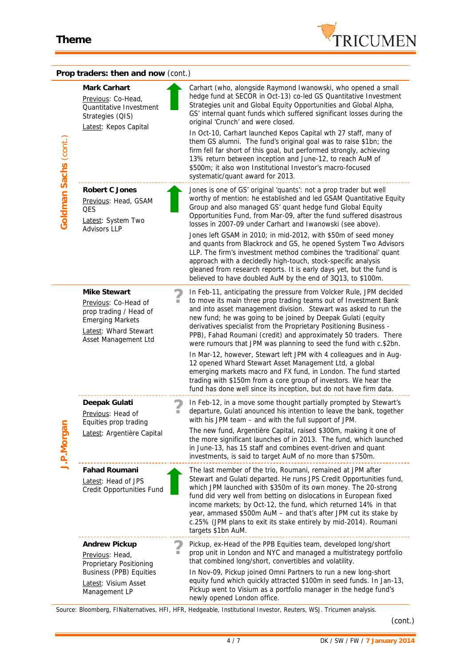

|                       | Prop traders: then and now (cont.)                                                                                                         |                                                                                                                                                                                                                                                                                                                                                                                                                                                                                                             |
|-----------------------|--------------------------------------------------------------------------------------------------------------------------------------------|-------------------------------------------------------------------------------------------------------------------------------------------------------------------------------------------------------------------------------------------------------------------------------------------------------------------------------------------------------------------------------------------------------------------------------------------------------------------------------------------------------------|
| Goldman Sachs (cont.) | Mark Carhart<br>Previous: Co-Head,<br>Quantitative Investment<br>Strategies (QIS)<br>Latest: Kepos Capital                                 | Carhart (who, alongside Raymond Iwanowski, who opened a small<br>hedge fund at SECOR in Oct-13) co-led GS Quantitative Investment<br>Strategies unit and Global Equity Opportunities and Global Alpha,<br>GS' internal quant funds which suffered significant losses during the<br>original 'Crunch' and were closed.                                                                                                                                                                                       |
|                       |                                                                                                                                            | In Oct-10, Carhart launched Kepos Capital wth 27 staff, many of<br>them GS alumni. The fund's original goal was to raise \$1bn; the<br>firm fell far short of this goal, but performed strongly, achieving<br>13% return between inception and June-12, to reach AuM of<br>\$500m; it also won Institutional Investor's macro-focused<br>systematic/quant award for 2013.                                                                                                                                   |
|                       | Robert C Jones<br>Previous: Head, GSAM<br><b>QES</b><br>Latest: System Two<br><b>Advisors LLP</b>                                          | Jones is one of GS' original 'quants': not a prop trader but well<br>worthy of mention: he established and led GSAM Quantitative Equity<br>Group and also managed GS' quant hedge fund Global Equity<br>Opportunities Fund, from Mar-09, after the fund suffered disastrous<br>losses in 2007-09 under Carhart and Iwanowski (see above).                                                                                                                                                                   |
|                       |                                                                                                                                            | Jones left GSAM in 2010; in mid-2012, with \$50m of seed money<br>and quants from Blackrock and GS, he opened System Two Advisors<br>LLP. The firm's investment method combines the 'traditional' quant<br>approach with a decidedly high-touch, stock-specific analysis<br>gleaned from research reports. It is early days yet, but the fund is<br>believed to have doubled AuM by the end of 3Q13, to \$100m.                                                                                             |
| J.P.Morgan            | Mike Stewart<br>Previous: Co-Head of<br>prop trading / Head of<br><b>Emerging Markets</b><br>Latest: Whard Stewart<br>Asset Management Ltd | In Feb-11, anticipating the pressure from Volcker Rule, JPM decided<br>to move its main three prop trading teams out of Investment Bank<br>and into asset management division. Stewart was asked to run the<br>new fund; he was going to be joined by Deepak Gulati (equity<br>derivatives specialist from the Proprietary Positioning Business -<br>PPB), Fahad Roumani (credit) and approximately 50 traders. There<br>were rumours that JPM was planning to seed the fund with c.\$2bn.                  |
|                       |                                                                                                                                            | In Mar-12, however, Stewart left JPM with 4 colleagues and in Aug-<br>12 opened Whard Stewart Asset Management Ltd, a global<br>emerging markets macro and FX fund, in London. The fund started<br>trading with \$150m from a core group of investors. We hear the<br>fund has done well since its inception, but do not have firm data.                                                                                                                                                                    |
|                       | Deepak Gulati<br>Previous: Head of<br>Equities prop trading                                                                                | In Feb-12, in a move some thought partially prompted by Stewart's<br>departure, Gulati anounced his intention to leave the bank, together<br>with his JPM team - and with the full support of JPM.                                                                                                                                                                                                                                                                                                          |
|                       | Latest: Argentière Capital                                                                                                                 | The new fund, Argentière Capital, raised \$300m, making it one of<br>the more significant launches of in 2013. The fund, which launched<br>in June-13, has 15 staff and combines event-driven and quant<br>investments, is said to target AuM of no more than \$750m.                                                                                                                                                                                                                                       |
|                       | Fahad Roumani<br>Latest: Head of JPS<br>Credit Opportunities Fund                                                                          | The last member of the trio, Roumani, remained at JPM after<br>Stewart and Gulati departed. He runs JPS Credit Opportunities fund,<br>which JPM launched with \$350m of its own money. The 20-strong<br>fund did very well from betting on dislocations in European fixed<br>income markets; by Oct-12, the fund, which returned 14% in that<br>year, ammased \$500m AuM - and that's after JPM cut its stake by<br>c.25% (JPM plans to exit its stake entirely by mid-2014). Roumani<br>targets \$1bn AuM. |
|                       | Andrew Pickup<br>Previous: Head,<br>Proprietary Positioning<br><b>Business (PPB) Equities</b><br>Latest: Visium Asset<br>Management LP     | Pickup, ex-Head of the PPB Equities team, developed long/short<br>prop unit in London and NYC and managed a multistrategy portfolio<br>that combined long/short, convertibles and volatility.<br>In Nov-09, Pickup joined Omni Partners to run a new long-short<br>equity fund which quickly attracted \$100m in seed funds. In Jan-13,<br>Pickup went to Visium as a portfolio manager in the hedge fund's<br>newly opened London office.                                                                  |

*Source: Bloomberg, FINalternatives, HFI, HFR, Hedgeable, Institutional Investor, Reuters, WSJ. Tricumen analysis.*

*(cont.)*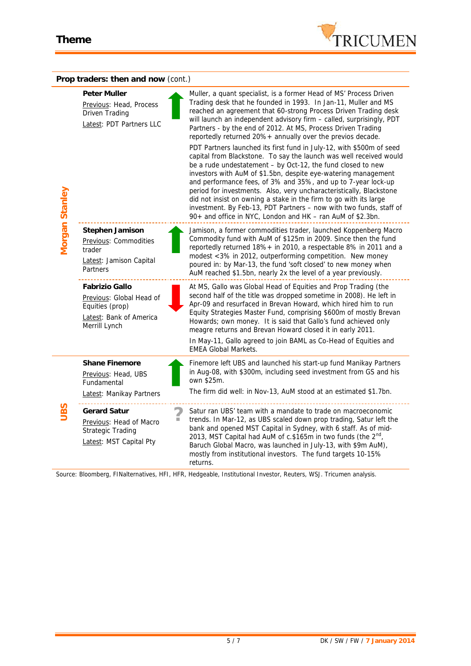

| Prop traders: then and now (cont.) |                                                                                                           |                                                                                                                                                                                                                                                                                                                                                                                                                                                                                                                                                                                                                                                                                                                                                                                                                                                                                                                                                                                                                                               |  |  |
|------------------------------------|-----------------------------------------------------------------------------------------------------------|-----------------------------------------------------------------------------------------------------------------------------------------------------------------------------------------------------------------------------------------------------------------------------------------------------------------------------------------------------------------------------------------------------------------------------------------------------------------------------------------------------------------------------------------------------------------------------------------------------------------------------------------------------------------------------------------------------------------------------------------------------------------------------------------------------------------------------------------------------------------------------------------------------------------------------------------------------------------------------------------------------------------------------------------------|--|--|
| Morgan Stanley                     | Peter Muller<br>Previous: Head, Process<br>Driven Trading<br>Latest: PDT Partners LLC                     | Muller, a quant specialist, is a former Head of MS' Process Driven<br>Trading desk that he founded in 1993. In Jan-11, Muller and MS<br>reached an agreement that 60-strong Process Driven Trading desk<br>will launch an independent advisory firm - called, surprisingly, PDT<br>Partners - by the end of 2012. At MS, Process Driven Trading<br>reportedly returned 20%+ annually over the previos decade.<br>PDT Partners launched its first fund in July-12, with \$500m of seed<br>capital from Blackstone. To say the launch was well received would<br>be a rude undestatement - by Oct-12, the fund closed to new<br>investors with AuM of \$1.5bn, despite eye-watering management<br>and performance fees, of 3% and 35%, and up to 7-year lock-up<br>period for investments. Also, very uncharacteristically, Blackstone<br>did not insist on owning a stake in the firm to go with its large<br>investment. By Feb-13, PDT Partners - now with two funds, staff of<br>90+ and office in NYC, London and HK - ran AuM of \$2.3bn. |  |  |
|                                    | Stephen Jamison<br>Previous: Commodities<br>trader<br>Latest: Jamison Capital<br>Partners                 | Jamison, a former commodities trader, launched Koppenberg Macro<br>Commodity fund with AuM of \$125m in 2009. Since then the fund<br>reportedly returned 18%+ in 2010, a respectable 8% in 2011 and a<br>modest <3% in 2012, outperforming competition. New money<br>poured in: by Mar-13, the fund 'soft closed' to new money when<br>AuM reached \$1.5bn, nearly 2x the level of a year previously.                                                                                                                                                                                                                                                                                                                                                                                                                                                                                                                                                                                                                                         |  |  |
|                                    | Fabrizio Gallo<br>Previous: Global Head of<br>Equities (prop)<br>Latest: Bank of America<br>Merrill Lynch | At MS, Gallo was Global Head of Equities and Prop Trading (the<br>second half of the title was dropped sometime in 2008). He left in<br>Apr-09 and resurfaced in Brevan Howard, which hired him to run<br>Equity Strategies Master Fund, comprising \$600m of mostly Brevan<br>Howards; own money. It is said that Gallo's fund achieved only<br>meagre returns and Brevan Howard closed it in early 2011.<br>In May-11, Gallo agreed to join BAML as Co-Head of Equities and<br><b>EMEA Global Markets.</b>                                                                                                                                                                                                                                                                                                                                                                                                                                                                                                                                  |  |  |
| UBS                                | Shane Finemore<br>Previous: Head, UBS<br>Fundamental<br>Latest: Manikay Partners                          | Finemore left UBS and launched his start-up fund Manikay Partners<br>in Aug-08, with \$300m, including seed investment from GS and his<br>own \$25m.<br>The firm did well: in Nov-13, AuM stood at an estimated \$1.7bn.                                                                                                                                                                                                                                                                                                                                                                                                                                                                                                                                                                                                                                                                                                                                                                                                                      |  |  |
|                                    | Gerard Satur<br>Previous: Head of Macro<br><b>Strategic Trading</b><br>Latest: MST Capital Pty            | Satur ran UBS' team with a mandate to trade on macroeconomic<br>trends. In Mar-12, as UBS scaled down prop trading, Satur left the<br>bank and opened MST Capital in Sydney, with 6 staff. As of mid-<br>2013, MST Capital had AuM of c.\$165m in two funds (the $2nd$ ,<br>Baruch Global Macro, was launched in July-13, with \$9m AuM),<br>mostly from institutional investors. The fund targets 10-15%<br>returns.                                                                                                                                                                                                                                                                                                                                                                                                                                                                                                                                                                                                                         |  |  |

*Source: Bloomberg, FINalternatives, HFI, HFR, Hedgeable, Institutional Investor, Reuters, WSJ. Tricumen analysis.*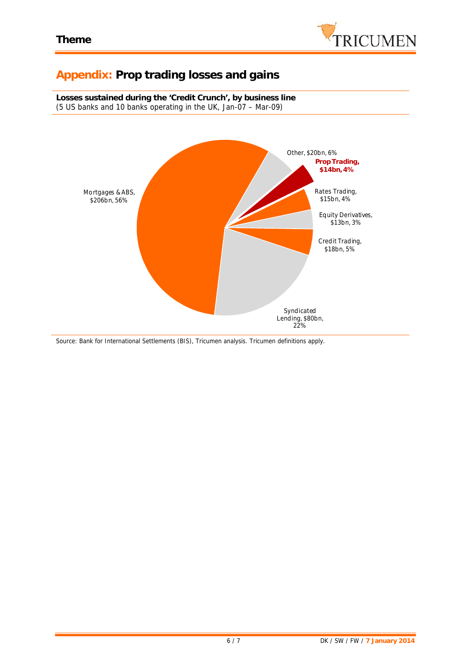

# **Appendix: Prop trading losses and gains**

**Losses sustained during the 'Credit Crunch', by business line** (5 US banks and 10 banks operating in the UK, Jan-07 – Mar-09)



*Source: Bank for International Settlements (BIS), Tricumen analysis. Tricumen definitions apply.*